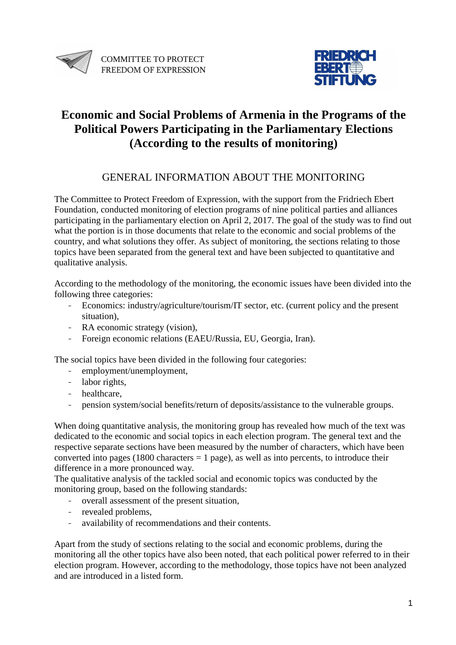



# **Economic and Social Problems of Armenia in the Programs of the Political Powers Participating in the Parliamentary Elections (According to the results of monitoring)**

## GENERAL INFORMATION ABOUT THE MONITORING

The Committee to Protect Freedom of Expression, with the support from the Fridriech Ebert Foundation, conducted monitoring of election programs of nine political parties and alliances participating in the parliamentary election on April 2, 2017. The goal of the study was to find out what the portion is in those documents that relate to the economic and social problems of the country, and what solutions they offer. As subject of monitoring, the sections relating to those topics have been separated from the general text and have been subjected to quantitative and qualitative analysis.

According to the methodology of the monitoring, the economic issues have been divided into the following three categories:

- Economics: industry/agriculture/tourism/IT sector, etc. (current policy and the present situation),
- RA economic strategy (vision),
- Foreign economic relations (EAEU/Russia, EU, Georgia, Iran).

The social topics have been divided in the following four categories:

- employment/unemployment,
- labor rights,
- healthcare,
- pension system/social benefits/return of deposits/assistance to the vulnerable groups.

When doing quantitative analysis, the monitoring group has revealed how much of the text was dedicated to the economic and social topics in each election program. The general text and the respective separate sections have been measured by the number of characters, which have been converted into pages (1800 characters  $= 1$  page), as well as into percents, to introduce their difference in a more pronounced way.

The qualitative analysis of the tackled social and economic topics was conducted by the monitoring group, based on the following standards:

- overall assessment of the present situation,
- revealed problems,
- availability of recommendations and their contents.

Apart from the study of sections relating to the social and economic problems, during the monitoring all the other topics have also been noted, that each political power referred to in their election program. However, according to the methodology, those topics have not been analyzed and are introduced in a listed form.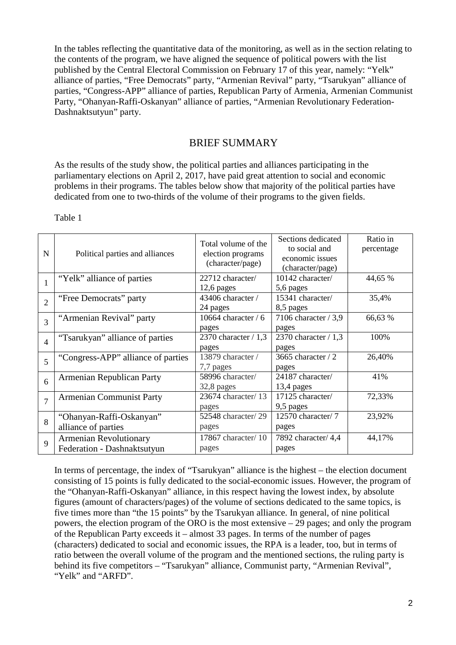In the tables reflecting the quantitative data of the monitoring, as well as in the section relating to the contents of the program, we have aligned the sequence of political powers with the list published by the Central Electoral Commission on February 17 of this year, namely: "Yelk" alliance of parties, "Free Democrats" party, "Armenian Revival" party, "Tsarukyan" alliance of parties, "Congress-APP" alliance of parties, Republican Party of Armenia, Armenian Communist Party, "Ohanyan-Raffi-Oskanyan" alliance of parties, "Armenian Revolutionary Federation-Dashnaktsutyun" party.

#### BRIEF SUMMARY

As the results of the study show, the political parties and alliances participating in the parliamentary elections on April 2, 2017, have paid great attention to social and economic problems in their programs. The tables below show that majority of the political parties have dedicated from one to two-thirds of the volume of their programs to the given fields.

| N              | Political parties and alliances                       | Total volume of the<br>election programs<br>(character/page) | Sections dedicated<br>to social and<br>economic issues<br>(character/page) | Ratio in<br>percentage |
|----------------|-------------------------------------------------------|--------------------------------------------------------------|----------------------------------------------------------------------------|------------------------|
|                | "Yelk" alliance of parties                            | 22712 character/<br>$12,6$ pages                             | 10142 character/<br>5,6 pages                                              | 44,65 %                |
| $\overline{2}$ | "Free Democrats" party                                | 43406 character /<br>24 pages                                | 15341 character/<br>8,5 pages                                              | 35,4%                  |
| 3              | "Armenian Revival" party                              | 10664 character $/ 6$<br>pages                               | 7106 character $/ 3.9$<br>pages                                            | 66,63 %                |
| $\overline{4}$ | "Tsarukyan" alliance of parties                       | 2370 character / 1,3<br>pages                                | 2370 character $/ 1,3$<br>pages                                            | 100%                   |
| 5              | "Congress-APP" alliance of parties                    | 13879 character /<br>7,7 pages                               | 3665 character $/2$<br>pages                                               | 26,40%                 |
| 6              | Armenian Republican Party                             | 58996 character/<br>32,8 pages                               | 24187 character/<br>$13,4$ pages                                           | 41%                    |
| $\overline{7}$ | <b>Armenian Communist Party</b>                       | 23674 character/13<br>pages                                  | 17125 character/<br>9,5 pages                                              | 72,33%                 |
| 8              | "Ohanyan-Raffi-Oskanyan"<br>alliance of parties       | 52548 character/29<br>pages                                  | 12570 character/7<br>pages                                                 | 23,92%                 |
| 9              | Armenian Revolutionary<br>Federation - Dashnaktsutyun | 17867 character/ $10$<br>pages                               | 7892 character/ 4,4<br>pages                                               | 44,17%                 |

Table 1

In terms of percentage, the index of "Tsarukyan" alliance is the highest – the election document consisting of 15 points is fully dedicated to the social-economic issues. However, the program of the "Ohanyan-Raffi-Oskanyan" alliance, in this respect having the lowest index, by absolute figures (amount of characters/pages) of the volume of sections dedicated to the same topics, is five times more than "the 15 points" by the Tsarukyan alliance. In general, of nine political powers, the election program of the ORO is the most extensive – 29 pages; and only the program of the Republican Party exceeds it – almost 33 pages. In terms of the number of pages (characters) dedicated to social and economic issues, the RPA is a leader, too, but in terms of ratio between the overall volume of the program and the mentioned sections, the ruling party is behind its five competitors – "Tsarukyan" alliance, Communist party, "Armenian Revival", "Yelk" and "ARFD".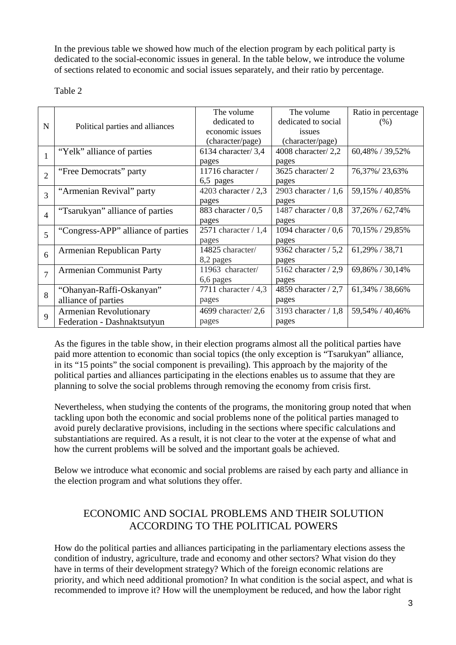In the previous table we showed how much of the election program by each political party is dedicated to the social-economic issues in general. In the table below, we introduce the volume of sections related to economic and social issues separately, and their ratio by percentage.

Table 2

| $\mathbf N$    | Political parties and alliances    | The volume             | The volume              | Ratio in percentage |
|----------------|------------------------------------|------------------------|-------------------------|---------------------|
|                |                                    | dedicated to           | dedicated to social     | (% )                |
|                |                                    | economic issues        | issues                  |                     |
|                |                                    | (character/page)       | (character/page)        |                     |
|                | "Yelk" alliance of parties         | 6134 character/3,4     | 4008 character/2,2      | 60,48% / 39,52%     |
|                |                                    | pages                  | pages                   |                     |
| $\overline{2}$ | "Free Democrats" party             | 11716 character /      | 3625 character/2        | 76,37%/23,63%       |
|                |                                    | 6,5 pages              | pages                   |                     |
| 3              | "Armenian Revival" party           | 4203 character $/ 2,3$ | 2903 character $/ 1, 6$ | 59,15% / 40,85%     |
|                |                                    | pages                  | pages                   |                     |
| $\overline{4}$ | "Tsarukyan" alliance of parties    | 883 character $/ 0.5$  | 1487 character $/ 0.8$  | 37,26% / 62,74%     |
|                |                                    | pages                  | pages                   |                     |
| 5              | "Congress-APP" alliance of parties | 2571 character $/ 1,4$ | 1094 character $/ 0.6$  | 70,15% / 29,85%     |
|                |                                    | pages                  | pages                   |                     |
| 6              | Armenian Republican Party          | 14825 character/       | 9362 character $/ 5,2$  | 61,29% / 38,71      |
|                |                                    | 8,2 pages              | pages                   |                     |
| $\overline{7}$ | <b>Armenian Communist Party</b>    | 11963 character/       | 5162 character $/2,9$   | 69,86% / 30,14%     |
|                |                                    | 6,6 pages              | pages                   |                     |
| 8              | "Ohanyan-Raffi-Oskanyan"           | 7711 character $/4,3$  | 4859 character / 2,7    | 61,34% / 38,66%     |
|                | alliance of parties                | pages                  | pages                   |                     |
| 9              | <b>Armenian Revolutionary</b>      | 4699 character/ $2,6$  | 3193 character $/ 1,8$  | 59,54% / 40,46%     |
|                | Federation - Dashnaktsutyun        | pages                  | pages                   |                     |

As the figures in the table show, in their election programs almost all the political parties have paid more attention to economic than social topics (the only exception is "Tsarukyan" alliance, in its "15 points" the social component is prevailing). This approach by the majority of the political parties and alliances participating in the elections enables us to assume that they are planning to solve the social problems through removing the economy from crisis first.

Nevertheless, when studying the contents of the programs, the monitoring group noted that when tackling upon both the economic and social problems none of the political parties managed to avoid purely declarative provisions, including in the sections where specific calculations and substantiations are required. As a result, it is not clear to the voter at the expense of what and how the current problems will be solved and the important goals be achieved.

Below we introduce what economic and social problems are raised by each party and alliance in the election program and what solutions they offer.

## ECONOMIC AND SOCIAL PROBLEMS AND THEIR SOLUTION ACCORDING TO THE POLITICAL POWERS

How do the political parties and alliances participating in the parliamentary elections assess the condition of industry, agriculture, trade and economy and other sectors? What vision do they have in terms of their development strategy? Which of the foreign economic relations are priority, and which need additional promotion? In what condition is the social aspect, and what is recommended to improve it? How will the unemployment be reduced, and how the labor right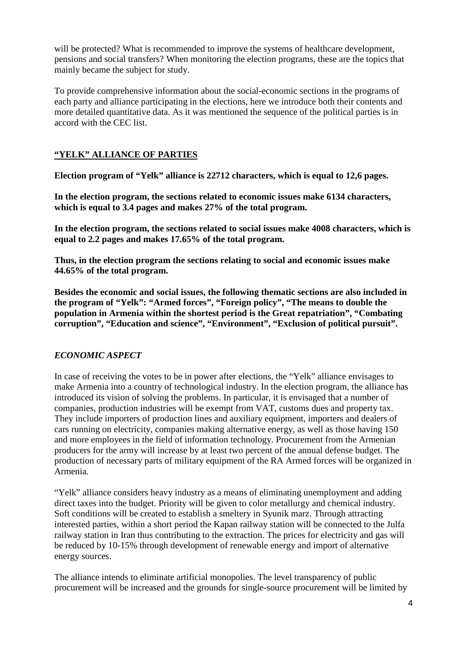will be protected? What is recommended to improve the systems of healthcare development, pensions and social transfers? When monitoring the election programs, these are the topics that mainly became the subject for study.

To provide comprehensive information about the social-economic sections in the programs of each party and alliance participating in the elections, here we introduce both their contents and more detailed quantitative data. As it was mentioned the sequence of the political parties is in accord with the CEC list.

## **"YELK" ALLIANCE OF PARTIES**

**Election program of "Yelk" alliance is 22712 characters, which is equal to 12,6 pages.** 

**In the election program, the sections related to economic issues make 6134 characters, which is equal to 3.4 pages and makes 27% of the total program.** 

**In the election program, the sections related to social issues make 4008 characters, which is equal to 2.2 pages and makes 17.65% of the total program.** 

**Thus, in the election program the sections relating to social and economic issues make 44.65% of the total program.** 

**Besides the economic and social issues, the following thematic sections are also included in the program of "Yelk": "Armed forces", "Foreign policy", "The means to double the population in Armenia within the shortest period is the Great repatriation", "Combating corruption", "Education and science", "Environment", "Exclusion of political pursuit".** 

## *ECONOMIC ASPECT*

In case of receiving the votes to be in power after elections, the "Yelk" alliance envisages to make Armenia into a country of technological industry. In the election program, the alliance has introduced its vision of solving the problems. In particular, it is envisaged that a number of companies, production industries will be exempt from VAT, customs dues and property tax. They include importers of production lines and auxiliary equipment, importers and dealers of cars running on electricity, companies making alternative energy, as well as those having 150 and more employees in the field of information technology. Procurement from the Armenian producers for the army will increase by at least two percent of the annual defense budget. The production of necessary parts of military equipment of the RA Armed forces will be organized in Armenia.

"Yelk" alliance considers heavy industry as a means of eliminating unemployment and adding direct taxes into the budget. Priority will be given to color metallurgy and chemical industry. Soft conditions will be created to establish a smeltery in Syunik marz. Through attracting interested parties, within a short period the Kapan railway station will be connected to the Julfa railway station in Iran thus contributing to the extraction. The prices for electricity and gas will be reduced by 10-15% through development of renewable energy and import of alternative energy sources.

The alliance intends to eliminate artificial monopolies. The level transparency of public procurement will be increased and the grounds for single-source procurement will be limited by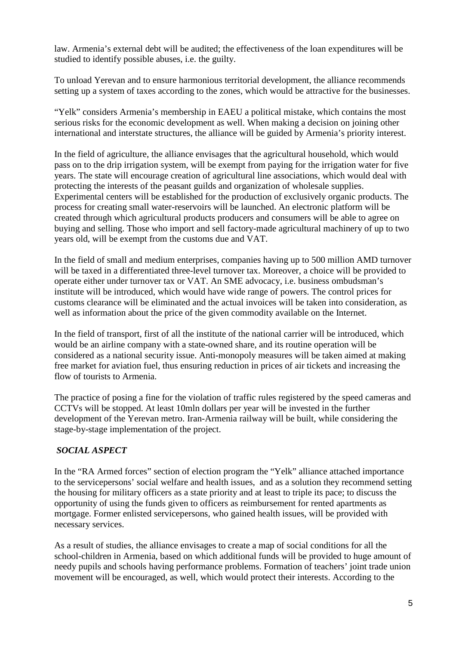law. Armenia's external debt will be audited; the effectiveness of the loan expenditures will be studied to identify possible abuses, i.e. the guilty.

To unload Yerevan and to ensure harmonious territorial development, the alliance recommends setting up a system of taxes according to the zones, which would be attractive for the businesses.

"Yelk" considers Armenia's membership in EAEU a political mistake, which contains the most serious risks for the economic development as well. When making a decision on joining other international and interstate structures, the alliance will be guided by Armenia's priority interest.

In the field of agriculture, the alliance envisages that the agricultural household, which would pass on to the drip irrigation system, will be exempt from paying for the irrigation water for five years. The state will encourage creation of agricultural line associations, which would deal with protecting the interests of the peasant guilds and organization of wholesale supplies. Experimental centers will be established for the production of exclusively organic products. The process for creating small water-reservoirs will be launched. An electronic platform will be created through which agricultural products producers and consumers will be able to agree on buying and selling. Those who import and sell factory-made agricultural machinery of up to two years old, will be exempt from the customs due and VAT.

In the field of small and medium enterprises, companies having up to 500 million AMD turnover will be taxed in a differentiated three-level turnover tax. Moreover, a choice will be provided to operate either under turnover tax or VAT. An SME advocacy, i.e. business ombudsman's institute will be introduced, which would have wide range of powers. The control prices for customs clearance will be eliminated and the actual invoices will be taken into consideration, as well as information about the price of the given commodity available on the Internet.

In the field of transport, first of all the institute of the national carrier will be introduced, which would be an airline company with a state-owned share, and its routine operation will be considered as a national security issue. Anti-monopoly measures will be taken aimed at making free market for aviation fuel, thus ensuring reduction in prices of air tickets and increasing the flow of tourists to Armenia.

The practice of posing a fine for the violation of traffic rules registered by the speed cameras and CCTVs will be stopped. At least 10mln dollars per year will be invested in the further development of the Yerevan metro. Iran-Armenia railway will be built, while considering the stage-by-stage implementation of the project.

#### *SOCIAL ASPECT*

In the "RA Armed forces" section of election program the "Yelk" alliance attached importance to the servicepersons' social welfare and health issues, and as a solution they recommend setting the housing for military officers as a state priority and at least to triple its pace; to discuss the opportunity of using the funds given to officers as reimbursement for rented apartments as mortgage. Former enlisted servicepersons, who gained health issues, will be provided with necessary services.

As a result of studies, the alliance envisages to create a map of social conditions for all the school-children in Armenia, based on which additional funds will be provided to huge amount of needy pupils and schools having performance problems. Formation of teachers' joint trade union movement will be encouraged, as well, which would protect their interests. According to the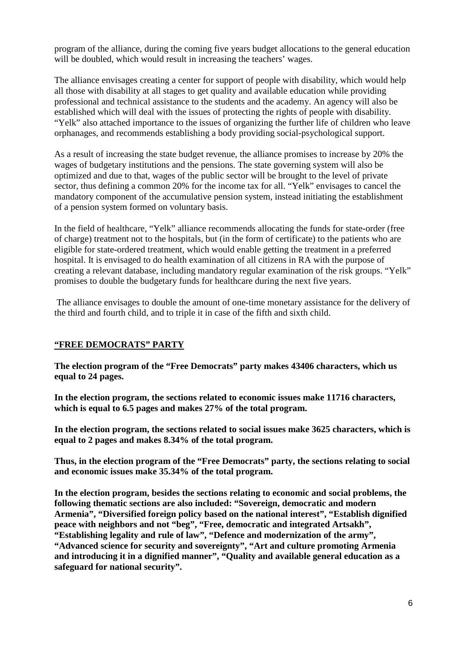program of the alliance, during the coming five years budget allocations to the general education will be doubled, which would result in increasing the teachers' wages.

The alliance envisages creating a center for support of people with disability, which would help all those with disability at all stages to get quality and available education while providing professional and technical assistance to the students and the academy. An agency will also be established which will deal with the issues of protecting the rights of people with disability. "Yelk" also attached importance to the issues of organizing the further life of children who leave orphanages, and recommends establishing a body providing social-psychological support.

As a result of increasing the state budget revenue, the alliance promises to increase by 20% the wages of budgetary institutions and the pensions. The state governing system will also be optimized and due to that, wages of the public sector will be brought to the level of private sector, thus defining a common 20% for the income tax for all. "Yelk" envisages to cancel the mandatory component of the accumulative pension system, instead initiating the establishment of a pension system formed on voluntary basis.

In the field of healthcare, "Yelk" alliance recommends allocating the funds for state-order (free of charge) treatment not to the hospitals, but (in the form of certificate) to the patients who are eligible for state-ordered treatment, which would enable getting the treatment in a preferred hospital. It is envisaged to do health examination of all citizens in RA with the purpose of creating a relevant database, including mandatory regular examination of the risk groups. "Yelk" promises to double the budgetary funds for healthcare during the next five years.

 The alliance envisages to double the amount of one-time monetary assistance for the delivery of the third and fourth child, and to triple it in case of the fifth and sixth child.

#### **"FREE DEMOCRATS" PARTY**

**The election program of the "Free Democrats" party makes 43406 characters, which us equal to 24 pages.** 

**In the election program, the sections related to economic issues make 11716 characters, which is equal to 6.5 pages and makes 27% of the total program.** 

**In the election program, the sections related to social issues make 3625 characters, which is equal to 2 pages and makes 8.34% of the total program.** 

**Thus, in the election program of the "Free Democrats" party, the sections relating to social and economic issues make 35.34% of the total program.** 

**In the election program, besides the sections relating to economic and social problems, the following thematic sections are also included: "Sovereign, democratic and modern Armenia", "Diversified foreign policy based on the national interest", "Establish dignified peace with neighbors and not "beg", "Free, democratic and integrated Artsakh", "Establishing legality and rule of law", "Defence and modernization of the army", "Advanced science for security and sovereignty", "Art and culture promoting Armenia and introducing it in a dignified manner", "Quality and available general education as a safeguard for national security".**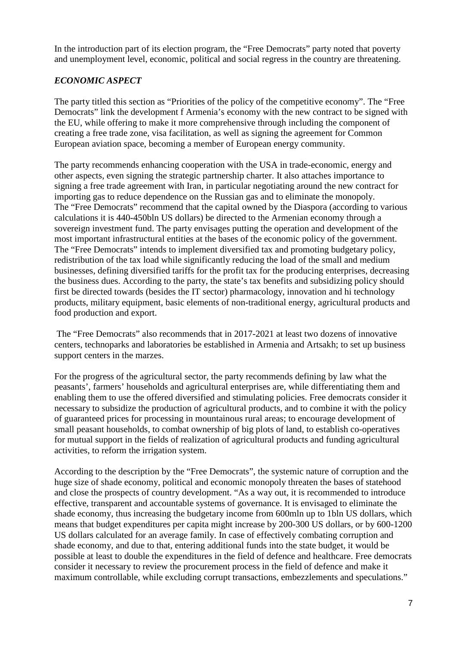In the introduction part of its election program, the "Free Democrats" party noted that poverty and unemployment level, economic, political and social regress in the country are threatening.

#### *ECONOMIC ASPECT*

The party titled this section as "Priorities of the policy of the competitive economy". The "Free Democrats" link the development f Armenia's economy with the new contract to be signed with the EU, while offering to make it more comprehensive through including the component of creating a free trade zone, visa facilitation, as well as signing the agreement for Common European aviation space, becoming a member of European energy community.

The party recommends enhancing cooperation with the USA in trade-economic, energy and other aspects, even signing the strategic partnership charter. It also attaches importance to signing a free trade agreement with Iran, in particular negotiating around the new contract for importing gas to reduce dependence on the Russian gas and to eliminate the monopoly. The "Free Democrats" recommend that the capital owned by the Diaspora (according to various calculations it is 440-450bln US dollars) be directed to the Armenian economy through a sovereign investment fund. The party envisages putting the operation and development of the most important infrastructural entities at the bases of the economic policy of the government. The "Free Democrats" intends to implement diversified tax and promoting budgetary policy, redistribution of the tax load while significantly reducing the load of the small and medium businesses, defining diversified tariffs for the profit tax for the producing enterprises, decreasing the business dues. According to the party, the state's tax benefits and subsidizing policy should first be directed towards (besides the IT sector) pharmacology, innovation and hi technology products, military equipment, basic elements of non-traditional energy, agricultural products and food production and export.

 The "Free Democrats" also recommends that in 2017-2021 at least two dozens of innovative centers, technoparks and laboratories be established in Armenia and Artsakh; to set up business support centers in the marzes.

For the progress of the agricultural sector, the party recommends defining by law what the peasants', farmers' households and agricultural enterprises are, while differentiating them and enabling them to use the offered diversified and stimulating policies. Free democrats consider it necessary to subsidize the production of agricultural products, and to combine it with the policy of guaranteed prices for processing in mountainous rural areas; to encourage development of small peasant households, to combat ownership of big plots of land, to establish co-operatives for mutual support in the fields of realization of agricultural products and funding agricultural activities, to reform the irrigation system.

According to the description by the "Free Democrats", the systemic nature of corruption and the huge size of shade economy, political and economic monopoly threaten the bases of statehood and close the prospects of country development. "As a way out, it is recommended to introduce effective, transparent and accountable systems of governance. It is envisaged to eliminate the shade economy, thus increasing the budgetary income from 600mln up to 1bln US dollars, which means that budget expenditures per capita might increase by 200-300 US dollars, or by 600-1200 US dollars calculated for an average family. In case of effectively combating corruption and shade economy, and due to that, entering additional funds into the state budget, it would be possible at least to double the expenditures in the field of defence and healthcare. Free democrats consider it necessary to review the procurement process in the field of defence and make it maximum controllable, while excluding corrupt transactions, embezzlements and speculations."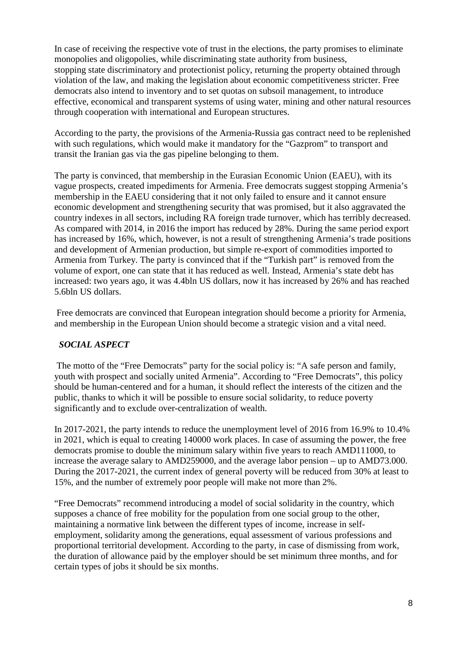In case of receiving the respective vote of trust in the elections, the party promises to eliminate monopolies and oligopolies, while discriminating state authority from business, stopping state discriminatory and protectionist policy, returning the property obtained through violation of the law, and making the legislation about economic competitiveness stricter. Free democrats also intend to inventory and to set quotas on subsoil management, to introduce effective, economical and transparent systems of using water, mining and other natural resources through cooperation with international and European structures.

According to the party, the provisions of the Armenia-Russia gas contract need to be replenished with such regulations, which would make it mandatory for the "Gazprom" to transport and transit the Iranian gas via the gas pipeline belonging to them.

The party is convinced, that membership in the Eurasian Economic Union (EAEU), with its vague prospects, created impediments for Armenia. Free democrats suggest stopping Armenia's membership in the EAEU considering that it not only failed to ensure and it cannot ensure economic development and strengthening security that was promised, but it also aggravated the country indexes in all sectors, including RA foreign trade turnover, which has terribly decreased. As compared with 2014, in 2016 the import has reduced by 28%. During the same period export has increased by 16%, which, however, is not a result of strengthening Armenia's trade positions and development of Armenian production, but simple re-export of commodities imported to Armenia from Turkey. The party is convinced that if the "Turkish part" is removed from the volume of export, one can state that it has reduced as well. Instead, Armenia's state debt has increased: two years ago, it was 4.4bln US dollars, now it has increased by 26% and has reached 5.6bln US dollars.

 Free democrats are convinced that European integration should become a priority for Armenia, and membership in the European Union should become a strategic vision and a vital need.

#### *SOCIAL ASPECT*

 The motto of the "Free Democrats" party for the social policy is: "A safe person and family, youth with prospect and socially united Armenia". According to "Free Democrats", this policy should be human-centered and for a human, it should reflect the interests of the citizen and the public, thanks to which it will be possible to ensure social solidarity, to reduce poverty significantly and to exclude over-centralization of wealth.

In 2017-2021, the party intends to reduce the unemployment level of 2016 from 16.9% to 10.4% in 2021, which is equal to creating 140000 work places. In case of assuming the power, the free democrats promise to double the minimum salary within five years to reach AMD111000, to increase the average salary to AMD259000, and the average labor pension – up to AMD73.000. During the 2017-2021, the current index of general poverty will be reduced from 30% at least to 15%, and the number of extremely poor people will make not more than 2%.

"Free Democrats" recommend introducing a model of social solidarity in the country, which supposes a chance of free mobility for the population from one social group to the other, maintaining a normative link between the different types of income, increase in selfemployment, solidarity among the generations, equal assessment of various professions and proportional territorial development. According to the party, in case of dismissing from work, the duration of allowance paid by the employer should be set minimum three months, and for certain types of jobs it should be six months.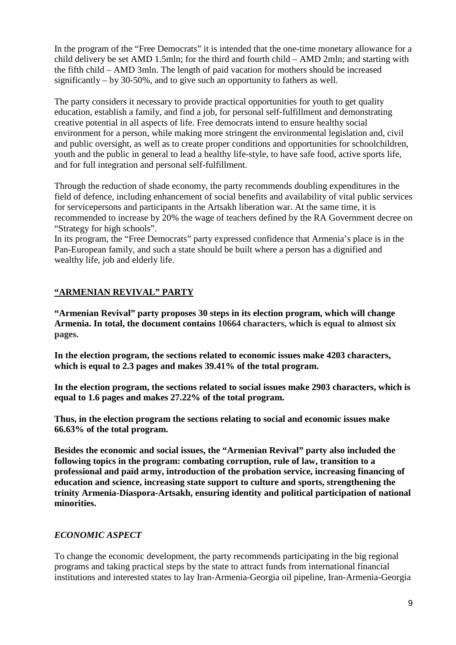In the program of the "Free Democrats" it is intended that the one-time monetary allowance for a child delivery be set AMD 1.5mln; for the third and fourth child – AMD 2mln; and starting with the fifth child – AMD 3mln. The length of paid vacation for mothers should be increased significantly – by 30-50%, and to give such an opportunity to fathers as well.

The party considers it necessary to provide practical opportunities for youth to get quality education, establish a family, and find a job, for personal self-fulfillment and demonstrating creative potential in all aspects of life. Free democrats intend to ensure healthy social environment for a person, while making more stringent the environmental legislation and, civil and public oversight, as well as to create proper conditions and opportunities for schoolchildren, youth and the public in general to lead a healthy life-style, to have safe food, active sports life, and for full integration and personal self-fulfillment.

Through the reduction of shade economy, the party recommends doubling expenditures in the field of defence, including enhancement of social benefits and availability of vital public services for servicepersons and participants in the Artsakh liberation war. At the same time, it is recommended to increase by 20% the wage of teachers defined by the RA Government decree on "Strategy for high schools".

In its program, the "Free Democrats" party expressed confidence that Armenia's place is in the Pan-European family, and such a state should be built where a person has a dignified and wealthy life, job and elderly life.

## **"ARMENIAN REVIVAL" PARTY**

**"Armenian Revival" party proposes 30 steps in its election program, which will change Armenia. In total, the document contains 10664 characters, which is equal to almost six pages.** 

**In the election program, the sections related to economic issues make 4203 characters, which is equal to 2.3 pages and makes 39.41% of the total program.** 

**In the election program, the sections related to social issues make 2903 characters, which is equal to 1.6 pages and makes 27.22% of the total program.** 

**Thus, in the election program the sections relating to social and economic issues make 66.63% of the total program.** 

**Besides the economic and social issues, the "Armenian Revival" party also included the following topics in the program: combating corruption, rule of law, transition to a professional and paid army, introduction of the probation service, increasing financing of education and science, increasing state support to culture and sports, strengthening the trinity Armenia-Diaspora-Artsakh, ensuring identity and political participation of national minorities.** 

## *ECONOMIC ASPECT*

To change the economic development, the party recommends participating in the big regional programs and taking practical steps by the state to attract funds from international financial institutions and interested states to lay Iran-Armenia-Georgia oil pipeline, Iran-Armenia-Georgia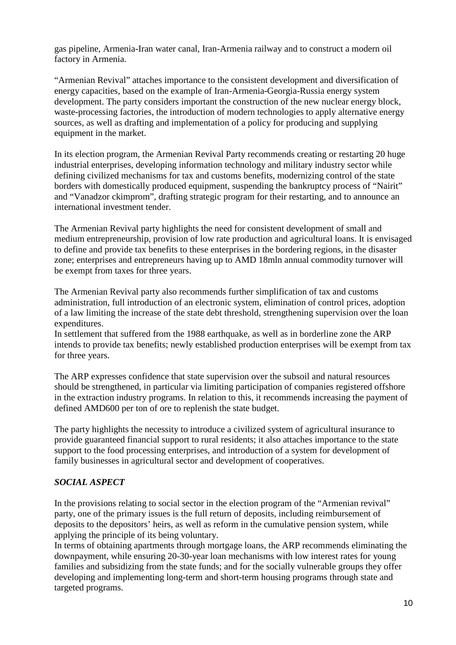gas pipeline, Armenia-Iran water canal, Iran-Armenia railway and to construct a modern oil factory in Armenia.

"Armenian Revival" attaches importance to the consistent development and diversification of energy capacities, based on the example of Iran-Armenia-Georgia-Russia energy system development. The party considers important the construction of the new nuclear energy block, waste-processing factories, the introduction of modern technologies to apply alternative energy sources, as well as drafting and implementation of a policy for producing and supplying equipment in the market.

In its election program, the Armenian Revival Party recommends creating or restarting 20 huge industrial enterprises, developing information technology and military industry sector while defining civilized mechanisms for tax and customs benefits, modernizing control of the state borders with domestically produced equipment, suspending the bankruptcy process of "Nairit" and "Vanadzor ckimprom", drafting strategic program for their restarting, and to announce an international investment tender.

The Armenian Revival party highlights the need for consistent development of small and medium entrepreneurship, provision of low rate production and agricultural loans. It is envisaged to define and provide tax benefits to these enterprises in the bordering regions, in the disaster zone; enterprises and entrepreneurs having up to AMD 18mln annual commodity turnover will be exempt from taxes for three years.

The Armenian Revival party also recommends further simplification of tax and customs administration, full introduction of an electronic system, elimination of control prices, adoption of a law limiting the increase of the state debt threshold, strengthening supervision over the loan expenditures.

In settlement that suffered from the 1988 earthquake, as well as in borderline zone the ARP intends to provide tax benefits; newly established production enterprises will be exempt from tax for three years.

The ARP expresses confidence that state supervision over the subsoil and natural resources should be strengthened, in particular via limiting participation of companies registered offshore in the extraction industry programs. In relation to this, it recommends increasing the payment of defined AMD600 per ton of ore to replenish the state budget.

The party highlights the necessity to introduce a civilized system of agricultural insurance to provide guaranteed financial support to rural residents; it also attaches importance to the state support to the food processing enterprises, and introduction of a system for development of family businesses in agricultural sector and development of cooperatives.

## *SOCIAL ASPECT*

In the provisions relating to social sector in the election program of the "Armenian revival" party, one of the primary issues is the full return of deposits, including reimbursement of deposits to the depositors' heirs, as well as reform in the cumulative pension system, while applying the principle of its being voluntary.

In terms of obtaining apartments through mortgage loans, the ARP recommends eliminating the downpayment, while ensuring 20-30-year loan mechanisms with low interest rates for young families and subsidizing from the state funds; and for the socially vulnerable groups they offer developing and implementing long-term and short-term housing programs through state and targeted programs.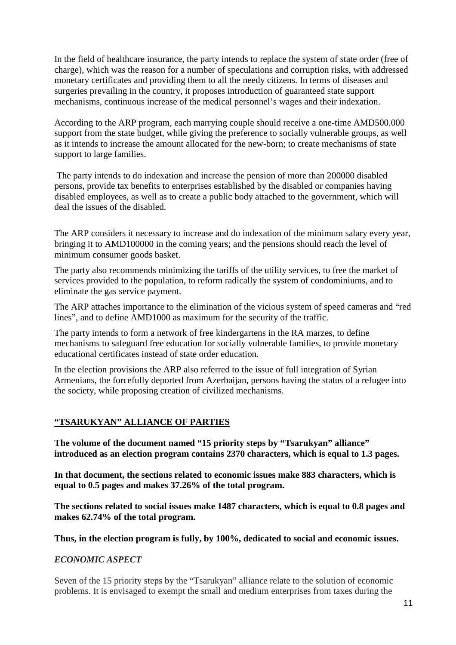In the field of healthcare insurance, the party intends to replace the system of state order (free of charge), which was the reason for a number of speculations and corruption risks, with addressed monetary certificates and providing them to all the needy citizens. In terms of diseases and surgeries prevailing in the country, it proposes introduction of guaranteed state support mechanisms, continuous increase of the medical personnel's wages and their indexation.

According to the ARP program, each marrying couple should receive a one-time AMD500.000 support from the state budget, while giving the preference to socially vulnerable groups, as well as it intends to increase the amount allocated for the new-born; to create mechanisms of state support to large families.

 The party intends to do indexation and increase the pension of more than 200000 disabled persons, provide tax benefits to enterprises established by the disabled or companies having disabled employees, as well as to create a public body attached to the government, which will deal the issues of the disabled.

The ARP considers it necessary to increase and do indexation of the minimum salary every year, bringing it to AMD100000 in the coming years; and the pensions should reach the level of minimum consumer goods basket.

The party also recommends minimizing the tariffs of the utility services, to free the market of services provided to the population, to reform radically the system of condominiums, and to eliminate the gas service payment.

The ARP attaches importance to the elimination of the vicious system of speed cameras and "red lines", and to define AMD1000 as maximum for the security of the traffic.

The party intends to form a network of free kindergartens in the RA marzes, to define mechanisms to safeguard free education for socially vulnerable families, to provide monetary educational certificates instead of state order education.

In the election provisions the ARP also referred to the issue of full integration of Syrian Armenians, the forcefully deported from Azerbaijan, persons having the status of a refugee into the society, while proposing creation of civilized mechanisms.

#### **"TSARUKYAN" ALLIANCE OF PARTIES**

**The volume of the document named "15 priority steps by "Tsarukyan" alliance" introduced as an election program contains 2370 characters, which is equal to 1.3 pages.** 

**In that document, the sections related to economic issues make 883 characters, which is equal to 0.5 pages and makes 37.26% of the total program.** 

**The sections related to social issues make 1487 characters, which is equal to 0.8 pages and makes 62.74% of the total program.** 

**Thus, in the election program is fully, by 100%, dedicated to social and economic issues.** 

#### *ECONOMIC ASPECT*

Seven of the 15 priority steps by the "Tsarukyan" alliance relate to the solution of economic problems. It is envisaged to exempt the small and medium enterprises from taxes during the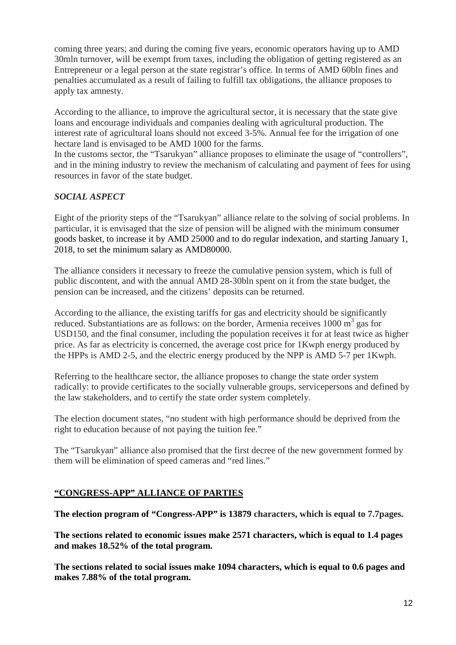coming three years; and during the coming five years, economic operators having up to AMD 30mln turnover, will be exempt from taxes, including the obligation of getting registered as an Entrepreneur or a legal person at the state registrar's office. In terms of AMD 60bln fines and penalties accumulated as a result of failing to fulfill tax obligations, the alliance proposes to apply tax amnesty.

According to the alliance, to improve the agricultural sector, it is necessary that the state give loans and encourage individuals and companies dealing with agricultural production. The interest rate of agricultural loans should not exceed 3-5%. Annual fee for the irrigation of one hectare land is envisaged to be AMD 1000 for the farms.

In the customs sector, the "Tsarukyan" alliance proposes to eliminate the usage of "controllers", and in the mining industry to review the mechanism of calculating and payment of fees for using resources in favor of the state budget.

## *SOCIAL ASPECT*

Eight of the priority steps of the "Tsarukyan" alliance relate to the solving of social problems. In particular, it is envisaged that the size of pension will be aligned with the minimum consumer goods basket, to increase it by AMD 25000 and to do regular indexation, and starting January 1, 2018, to set the minimum salary as AMD80000.

The alliance considers it necessary to freeze the cumulative pension system, which is full of public discontent, and with the annual AMD 28-30bln spent on it from the state budget, the pension can be increased, and the citizens' deposits can be returned.

According to the alliance, the existing tariffs for gas and electricity should be significantly reduced. Substantiations are as follows: on the border, Armenia receives  $1000 \text{ m}^3$  gas for USD150, and the final consumer, including the population receives it for at least twice as higher price. As far as electricity is concerned, the average cost price for 1Kwph energy produced by the HPPs is AMD 2-5, and the electric energy produced by the NPP is AMD 5-7 per 1Kwph.

Referring to the healthcare sector, the alliance proposes to change the state order system radically: to provide certificates to the socially vulnerable groups, servicepersons and defined by the law stakeholders, and to certify the state order system completely.

The election document states, "no student with high performance should be deprived from the right to education because of not paying the tuition fee."

The "Tsarukyan" alliance also promised that the first decree of the new government formed by them will be elimination of speed cameras and "red lines."

#### **"CONGRESS-APP" ALLIANCE OF PARTIES**

**The election program of "Congress-APP" is 13879 characters, which is equal to 7.7pages.** 

**The sections related to economic issues make 2571 characters, which is equal to 1.4 pages and makes 18.52% of the total program.** 

**The sections related to social issues make 1094 characters, which is equal to 0.6 pages and makes 7.88% of the total program.**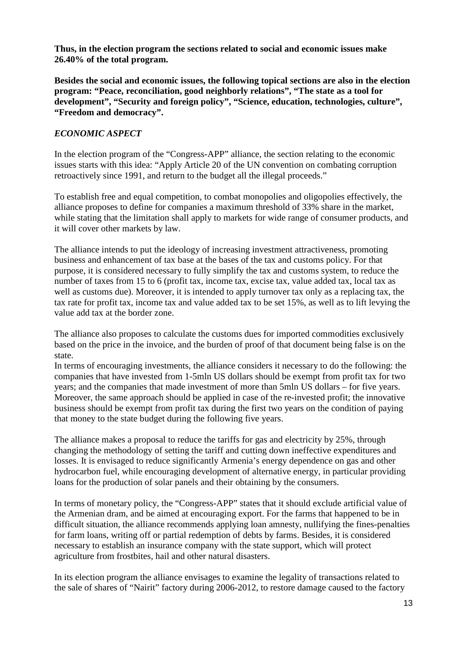**Thus, in the election program the sections related to social and economic issues make 26.40% of the total program.** 

**Besides the social and economic issues, the following topical sections are also in the election program: "Peace, reconciliation, good neighborly relations", "The state as a tool for**  development", "Security and foreign policy", "Science, education, technologies, culture", **"Freedom and democracy".** 

### *ECONOMIC ASPECT*

In the election program of the "Congress-APP" alliance, the section relating to the economic issues starts with this idea: "Apply Article 20 of the UN convention on combating corruption retroactively since 1991, and return to the budget all the illegal proceeds."

To establish free and equal competition, to combat monopolies and oligopolies effectively, the alliance proposes to define for companies a maximum threshold of 33% share in the market, while stating that the limitation shall apply to markets for wide range of consumer products, and it will cover other markets by law.

The alliance intends to put the ideology of increasing investment attractiveness, promoting business and enhancement of tax base at the bases of the tax and customs policy. For that purpose, it is considered necessary to fully simplify the tax and customs system, to reduce the number of taxes from 15 to 6 (profit tax, income tax, excise tax, value added tax, local tax as well as customs due). Moreover, it is intended to apply turnover tax only as a replacing tax, the tax rate for profit tax, income tax and value added tax to be set 15%, as well as to lift levying the value add tax at the border zone.

The alliance also proposes to calculate the customs dues for imported commodities exclusively based on the price in the invoice, and the burden of proof of that document being false is on the state.

In terms of encouraging investments, the alliance considers it necessary to do the following: the companies that have invested from 1-5mln US dollars should be exempt from profit tax for two years; and the companies that made investment of more than 5mln US dollars – for five years. Moreover, the same approach should be applied in case of the re-invested profit; the innovative business should be exempt from profit tax during the first two years on the condition of paying that money to the state budget during the following five years.

The alliance makes a proposal to reduce the tariffs for gas and electricity by 25%, through changing the methodology of setting the tariff and cutting down ineffective expenditures and losses. It is envisaged to reduce significantly Armenia's energy dependence on gas and other hydrocarbon fuel, while encouraging development of alternative energy, in particular providing loans for the production of solar panels and their obtaining by the consumers.

In terms of monetary policy, the "Congress-APP" states that it should exclude artificial value of the Armenian dram, and be aimed at encouraging export. For the farms that happened to be in difficult situation, the alliance recommends applying loan amnesty, nullifying the fines-penalties for farm loans, writing off or partial redemption of debts by farms. Besides, it is considered necessary to establish an insurance company with the state support, which will protect agriculture from frostbites, hail and other natural disasters.

In its election program the alliance envisages to examine the legality of transactions related to the sale of shares of "Nairit" factory during 2006-2012, to restore damage caused to the factory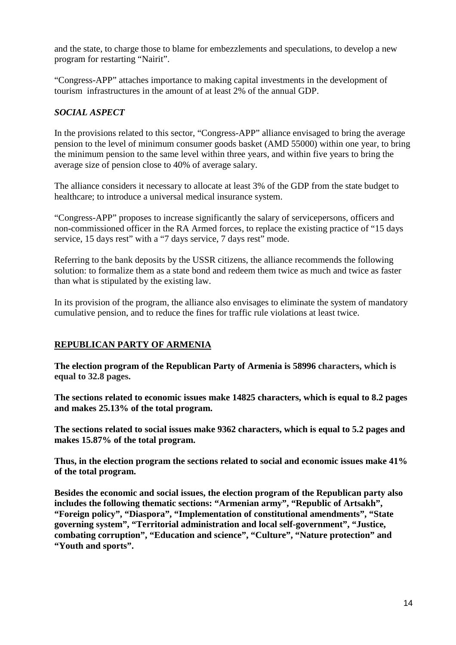and the state, to charge those to blame for embezzlements and speculations, to develop a new program for restarting "Nairit".

"Congress-APP" attaches importance to making capital investments in the development of tourism infrastructures in the amount of at least 2% of the annual GDP.

#### *SOCIAL ASPECT*

In the provisions related to this sector, "Congress-APP" alliance envisaged to bring the average pension to the level of minimum consumer goods basket (AMD 55000) within one year, to bring the minimum pension to the same level within three years, and within five years to bring the average size of pension close to 40% of average salary.

The alliance considers it necessary to allocate at least 3% of the GDP from the state budget to healthcare; to introduce a universal medical insurance system.

"Congress-APP" proposes to increase significantly the salary of servicepersons, officers and non-commissioned officer in the RA Armed forces, to replace the existing practice of "15 days service, 15 days rest" with a "7 days service, 7 days rest" mode.

Referring to the bank deposits by the USSR citizens, the alliance recommends the following solution: to formalize them as a state bond and redeem them twice as much and twice as faster than what is stipulated by the existing law.

In its provision of the program, the alliance also envisages to eliminate the system of mandatory cumulative pension, and to reduce the fines for traffic rule violations at least twice.

#### **REPUBLICAN PARTY OF ARMENIA**

**The election program of the Republican Party of Armenia is 58996 characters, which is equal to 32.8 pages.** 

**The sections related to economic issues make 14825 characters, which is equal to 8.2 pages and makes 25.13% of the total program.** 

**The sections related to social issues make 9362 characters, which is equal to 5.2 pages and makes 15.87% of the total program.** 

**Thus, in the election program the sections related to social and economic issues make 41% of the total program.** 

**Besides the economic and social issues, the election program of the Republican party also includes the following thematic sections: "Armenian army", "Republic of Artsakh", "Foreign policy", "Diaspora", "Implementation of constitutional amendments", "State governing system", "Territorial administration and local self-government", "Justice, combating corruption", "Education and science", "Culture", "Nature protection" and "Youth and sports".**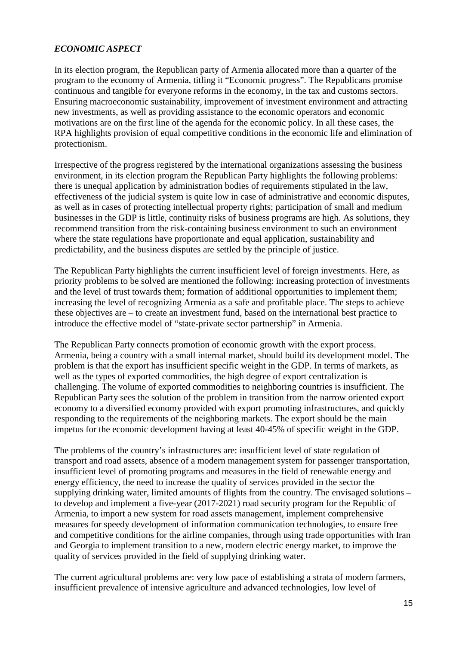#### *ECONOMIC ASPECT*

In its election program, the Republican party of Armenia allocated more than a quarter of the program to the economy of Armenia, titling it "Economic progress". The Republicans promise continuous and tangible for everyone reforms in the economy, in the tax and customs sectors. Ensuring macroeconomic sustainability, improvement of investment environment and attracting new investments, as well as providing assistance to the economic operators and economic motivations are on the first line of the agenda for the economic policy. In all these cases, the RPA highlights provision of equal competitive conditions in the economic life and elimination of protectionism.

Irrespective of the progress registered by the international organizations assessing the business environment, in its election program the Republican Party highlights the following problems: there is unequal application by administration bodies of requirements stipulated in the law, effectiveness of the judicial system is quite low in case of administrative and economic disputes, as well as in cases of protecting intellectual property rights; participation of small and medium businesses in the GDP is little, continuity risks of business programs are high. As solutions, they recommend transition from the risk-containing business environment to such an environment where the state regulations have proportionate and equal application, sustainability and predictability, and the business disputes are settled by the principle of justice.

The Republican Party highlights the current insufficient level of foreign investments. Here, as priority problems to be solved are mentioned the following: increasing protection of investments and the level of trust towards them; formation of additional opportunities to implement them; increasing the level of recognizing Armenia as a safe and profitable place. The steps to achieve these objectives are – to create an investment fund, based on the international best practice to introduce the effective model of "state-private sector partnership" in Armenia.

The Republican Party connects promotion of economic growth with the export process. Armenia, being a country with a small internal market, should build its development model. The problem is that the export has insufficient specific weight in the GDP. In terms of markets, as well as the types of exported commodities, the high degree of export centralization is challenging. The volume of exported commodities to neighboring countries is insufficient. The Republican Party sees the solution of the problem in transition from the narrow oriented export economy to a diversified economy provided with export promoting infrastructures, and quickly responding to the requirements of the neighboring markets. The export should be the main impetus for the economic development having at least 40-45% of specific weight in the GDP.

The problems of the country's infrastructures are: insufficient level of state regulation of transport and road assets, absence of a modern management system for passenger transportation, insufficient level of promoting programs and measures in the field of renewable energy and energy efficiency, the need to increase the quality of services provided in the sector the supplying drinking water, limited amounts of flights from the country. The envisaged solutions – to develop and implement a five-year (2017-2021) road security program for the Republic of Armenia, to import a new system for road assets management, implement comprehensive measures for speedy development of information communication technologies, to ensure free and competitive conditions for the airline companies, through using trade opportunities with Iran and Georgia to implement transition to a new, modern electric energy market, to improve the quality of services provided in the field of supplying drinking water.

The current agricultural problems are: very low pace of establishing a strata of modern farmers, insufficient prevalence of intensive agriculture and advanced technologies, low level of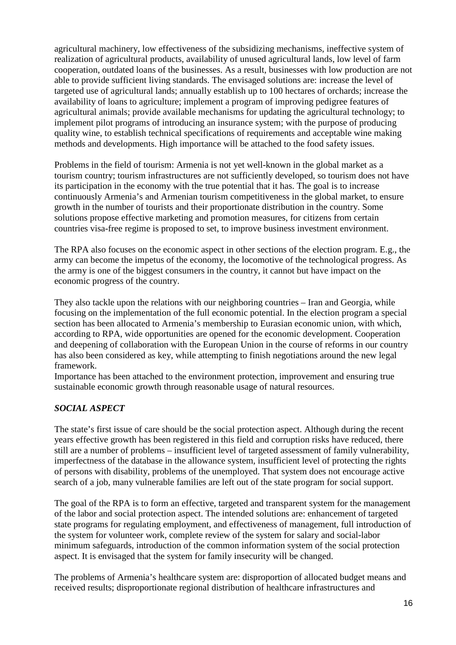agricultural machinery, low effectiveness of the subsidizing mechanisms, ineffective system of realization of agricultural products, availability of unused agricultural lands, low level of farm cooperation, outdated loans of the businesses. As a result, businesses with low production are not able to provide sufficient living standards. The envisaged solutions are: increase the level of targeted use of agricultural lands; annually establish up to 100 hectares of orchards; increase the availability of loans to agriculture; implement a program of improving pedigree features of agricultural animals; provide available mechanisms for updating the agricultural technology; to implement pilot programs of introducing an insurance system; with the purpose of producing quality wine, to establish technical specifications of requirements and acceptable wine making methods and developments. High importance will be attached to the food safety issues.

Problems in the field of tourism: Armenia is not yet well-known in the global market as a tourism country; tourism infrastructures are not sufficiently developed, so tourism does not have its participation in the economy with the true potential that it has. The goal is to increase continuously Armenia's and Armenian tourism competitiveness in the global market, to ensure growth in the number of tourists and their proportionate distribution in the country. Some solutions propose effective marketing and promotion measures, for citizens from certain countries visa-free regime is proposed to set, to improve business investment environment.

The RPA also focuses on the economic aspect in other sections of the election program. E.g., the army can become the impetus of the economy, the locomotive of the technological progress. As the army is one of the biggest consumers in the country, it cannot but have impact on the economic progress of the country.

They also tackle upon the relations with our neighboring countries – Iran and Georgia, while focusing on the implementation of the full economic potential. In the election program a special section has been allocated to Armenia's membership to Eurasian economic union, with which, according to RPA, wide opportunities are opened for the economic development. Cooperation and deepening of collaboration with the European Union in the course of reforms in our country has also been considered as key, while attempting to finish negotiations around the new legal framework.

Importance has been attached to the environment protection, improvement and ensuring true sustainable economic growth through reasonable usage of natural resources.

## *SOCIAL ASPECT*

The state's first issue of care should be the social protection aspect. Although during the recent years effective growth has been registered in this field and corruption risks have reduced, there still are a number of problems – insufficient level of targeted assessment of family vulnerability, imperfectness of the database in the allowance system, insufficient level of protecting the rights of persons with disability, problems of the unemployed. That system does not encourage active search of a job, many vulnerable families are left out of the state program for social support.

The goal of the RPA is to form an effective, targeted and transparent system for the management of the labor and social protection aspect. The intended solutions are: enhancement of targeted state programs for regulating employment, and effectiveness of management, full introduction of the system for volunteer work, complete review of the system for salary and social-labor minimum safeguards, introduction of the common information system of the social protection aspect. It is envisaged that the system for family insecurity will be changed.

The problems of Armenia's healthcare system are: disproportion of allocated budget means and received results; disproportionate regional distribution of healthcare infrastructures and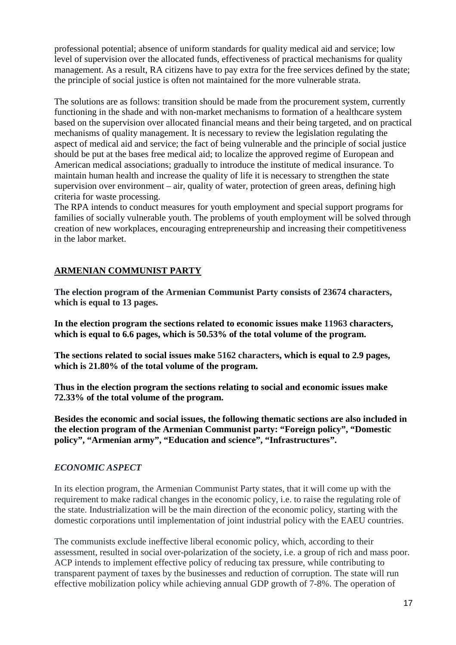professional potential; absence of uniform standards for quality medical aid and service; low level of supervision over the allocated funds, effectiveness of practical mechanisms for quality management. As a result, RA citizens have to pay extra for the free services defined by the state; the principle of social justice is often not maintained for the more vulnerable strata.

The solutions are as follows: transition should be made from the procurement system, currently functioning in the shade and with non-market mechanisms to formation of a healthcare system based on the supervision over allocated financial means and their being targeted, and on practical mechanisms of quality management. It is necessary to review the legislation regulating the aspect of medical aid and service; the fact of being vulnerable and the principle of social justice should be put at the bases free medical aid; to localize the approved regime of European and American medical associations; gradually to introduce the institute of medical insurance. To maintain human health and increase the quality of life it is necessary to strengthen the state supervision over environment – air, quality of water, protection of green areas, defining high criteria for waste processing.

The RPA intends to conduct measures for youth employment and special support programs for families of socially vulnerable youth. The problems of youth employment will be solved through creation of new workplaces, encouraging entrepreneurship and increasing their competitiveness in the labor market.

## **ARMENIAN COMMUNIST PARTY**

**The election program of the Armenian Communist Party consists of 23674 characters, which is equal to 13 pages.** 

**In the election program the sections related to economic issues make 11963 characters, which is equal to 6.6 pages, which is 50.53% of the total volume of the program.** 

**The sections related to social issues make 5162 characters, which is equal to 2.9 pages, which is 21.80% of the total volume of the program.**

**Thus in the election program the sections relating to social and economic issues make 72.33% of the total volume of the program.** 

**Besides the economic and social issues, the following thematic sections are also included in the election program of the Armenian Communist party: "Foreign policy", "Domestic policy", "Armenian army", "Education and science", "Infrastructures".** 

## *ECONOMIC ASPECT*

In its election program, the Armenian Communist Party states, that it will come up with the requirement to make radical changes in the economic policy, i.e. to raise the regulating role of the state. Industrialization will be the main direction of the economic policy, starting with the domestic corporations until implementation of joint industrial policy with the EAEU countries.

The communists exclude ineffective liberal economic policy, which, according to their assessment, resulted in social over-polarization of the society, i.e. a group of rich and mass poor. ACP intends to implement effective policy of reducing tax pressure, while contributing to transparent payment of taxes by the businesses and reduction of corruption. The state will run effective mobilization policy while achieving annual GDP growth of 7-8%. The operation of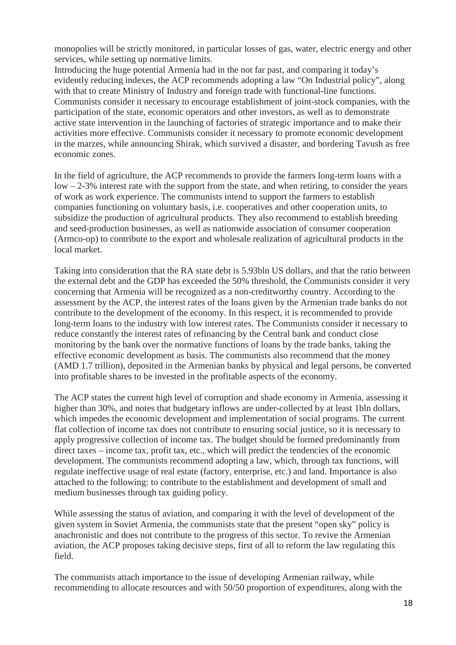monopolies will be strictly monitored, in particular losses of gas, water, electric energy and other services, while setting up normative limits.

Introducing the huge potential Armenia had in the not far past, and comparing it today's evidently reducing indexes, the ACP recommends adopting a law "On Industrial policy", along with that to create Ministry of Industry and foreign trade with functional-line functions. Communists consider it necessary to encourage establishment of joint-stock companies, with the participation of the state, economic operators and other investors, as well as to demonstrate active state intervention in the launching of factories of strategic importance and to make their activities more effective. Communists consider it necessary to promote economic development in the marzes, while announcing Shirak, which survived a disaster, and bordering Tavush as free economic zones.

In the field of agriculture, the ACP recommends to provide the farmers long-term loans with a low – 2-3% interest rate with the support from the state, and when retiring, to consider the years of work as work experience. The communists intend to support the farmers to establish companies functioning on voluntary basis, i.e. cooperatives and other cooperation units, to subsidize the production of agricultural products. They also recommend to establish breeding and seed-production businesses, as well as nationwide association of consumer cooperation (Armco-op) to contribute to the export and wholesale realization of agricultural products in the local market.

Taking into consideration that the RA state debt is 5.93bln US dollars, and that the ratio between the external debt and the GDP has exceeded the 50% threshold, the Communists consider it very concerning that Armenia will be recognized as a non-creditworthy country. According to the assessment by the ACP, the interest rates of the loans given by the Armenian trade banks do not contribute to the development of the economy. In this respect, it is recommended to provide long-term loans to the industry with low interest rates. The Communists consider it necessary to reduce constantly the interest rates of refinancing by the Central bank and conduct close monitoring by the bank over the normative functions of loans by the trade banks, taking the effective economic development as basis. The communists also recommend that the money (AMD 1.7 trillion), deposited in the Armenian banks by physical and legal persons, be converted into profitable shares to be invested in the profitable aspects of the economy.

The ACP states the current high level of corruption and shade economy in Armenia, assessing it higher than 30%, and notes that budgetary inflows are under-collected by at least 1bln dollars, which impedes the economic development and implementation of social programs. The current flat collection of income tax does not contribute to ensuring social justice, so it is necessary to apply progressive collection of income tax. The budget should be formed predominantly from direct taxes – income tax, profit tax, etc., which will predict the tendencies of the economic development. The communists recommend adopting a law, which, through tax functions, will regulate ineffective usage of real estate (factory, enterprise, etc.) and land. Importance is also attached to the following: to contribute to the establishment and development of small and medium businesses through tax guiding policy.

While assessing the status of aviation, and comparing it with the level of development of the given system in Soviet Armenia, the communists state that the present "open sky" policy is anachronistic and does not contribute to the progress of this sector. To revive the Armenian aviation, the ACP proposes taking decisive steps, first of all to reform the law regulating this field.

The communists attach importance to the issue of developing Armenian railway, while recommending to allocate resources and with 50/50 proportion of expenditures, along with the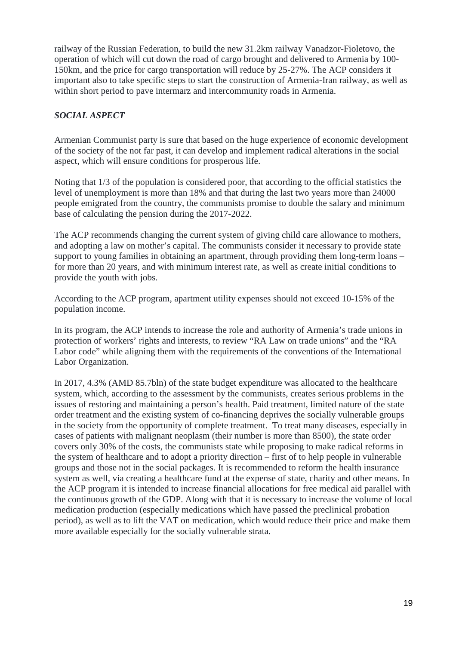railway of the Russian Federation, to build the new 31.2km railway Vanadzor-Fioletovo, the operation of which will cut down the road of cargo brought and delivered to Armenia by 100- 150km, and the price for cargo transportation will reduce by 25-27%. The ACP considers it important also to take specific steps to start the construction of Armenia-Iran railway, as well as within short period to pave intermarz and intercommunity roads in Armenia.

### *SOCIAL ASPECT*

Armenian Communist party is sure that based on the huge experience of economic development of the society of the not far past, it can develop and implement radical alterations in the social aspect, which will ensure conditions for prosperous life.

Noting that 1/3 of the population is considered poor, that according to the official statistics the level of unemployment is more than 18% and that during the last two years more than 24000 people emigrated from the country, the communists promise to double the salary and minimum base of calculating the pension during the 2017-2022.

The ACP recommends changing the current system of giving child care allowance to mothers, and adopting a law on mother's capital. The communists consider it necessary to provide state support to young families in obtaining an apartment, through providing them long-term loans – for more than 20 years, and with minimum interest rate, as well as create initial conditions to provide the youth with jobs.

According to the ACP program, apartment utility expenses should not exceed 10-15% of the population income.

In its program, the ACP intends to increase the role and authority of Armenia's trade unions in protection of workers' rights and interests, to review "RA Law on trade unions" and the "RA Labor code" while aligning them with the requirements of the conventions of the International Labor Organization.

In 2017, 4.3% (AMD 85.7bln) of the state budget expenditure was allocated to the healthcare system, which, according to the assessment by the communists, creates serious problems in the issues of restoring and maintaining a person's health. Paid treatment, limited nature of the state order treatment and the existing system of co-financing deprives the socially vulnerable groups in the society from the opportunity of complete treatment. To treat many diseases, especially in cases of patients with malignant neoplasm (their number is more than 8500), the state order covers only 30% of the costs, the communists state while proposing to make radical reforms in the system of healthcare and to adopt a priority direction – first of to help people in vulnerable groups and those not in the social packages. It is recommended to reform the health insurance system as well, via creating a healthcare fund at the expense of state, charity and other means. In the ACP program it is intended to increase financial allocations for free medical aid parallel with the continuous growth of the GDP. Along with that it is necessary to increase the volume of local medication production (especially medications which have passed the preclinical probation period), as well as to lift the VAT on medication, which would reduce their price and make them more available especially for the socially vulnerable strata.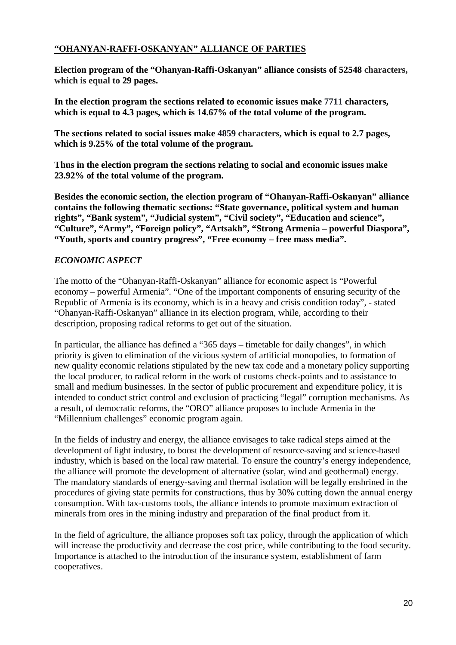### **"OHANYAN-RAFFI-OSKANYAN" ALLIANCE OF PARTIES**

**Election program of the "Ohanyan-Raffi-Oskanyan" alliance consists of 52548 characters, which is equal to 29 pages.** 

**In the election program the sections related to economic issues make 7711 characters, which is equal to 4.3 pages, which is 14.67% of the total volume of the program.** 

**The sections related to social issues make 4859 characters, which is equal to 2.7 pages, which is 9.25% of the total volume of the program.** 

**Thus in the election program the sections relating to social and economic issues make 23.92% of the total volume of the program.**

**Besides the economic section, the election program of "Ohanyan-Raffi-Oskanyan" alliance contains the following thematic sections: "State governance, political system and human rights", "Bank system", "Judicial system", "Civil society", "Education and science", "Culture", "Army", "Foreign policy", "Artsakh", "Strong Armenia – powerful Diaspora", "Youth, sports and country progress", "Free economy – free mass media".** 

#### *ECONOMIC ASPECT*

The motto of the "Ohanyan-Raffi-Oskanyan" alliance for economic aspect is "Powerful economy – powerful Armenia". "One of the important components of ensuring security of the Republic of Armenia is its economy, which is in a heavy and crisis condition today", - stated "Ohanyan-Raffi-Oskanyan" alliance in its election program, while, according to their description, proposing radical reforms to get out of the situation.

In particular, the alliance has defined a "365 days – timetable for daily changes", in which priority is given to elimination of the vicious system of artificial monopolies, to formation of new quality economic relations stipulated by the new tax code and a monetary policy supporting the local producer, to radical reform in the work of customs check-points and to assistance to small and medium businesses. In the sector of public procurement and expenditure policy, it is intended to conduct strict control and exclusion of practicing "legal" corruption mechanisms. As a result, of democratic reforms, the "ORO" alliance proposes to include Armenia in the "Millennium challenges" economic program again.

In the fields of industry and energy, the alliance envisages to take radical steps aimed at the development of light industry, to boost the development of resource-saving and science-based industry, which is based on the local raw material. To ensure the country's energy independence, the alliance will promote the development of alternative (solar, wind and geothermal) energy. The mandatory standards of energy-saving and thermal isolation will be legally enshrined in the procedures of giving state permits for constructions, thus by 30% cutting down the annual energy consumption. With tax-customs tools, the alliance intends to promote maximum extraction of minerals from ores in the mining industry and preparation of the final product from it.

In the field of agriculture, the alliance proposes soft tax policy, through the application of which will increase the productivity and decrease the cost price, while contributing to the food security. Importance is attached to the introduction of the insurance system, establishment of farm cooperatives.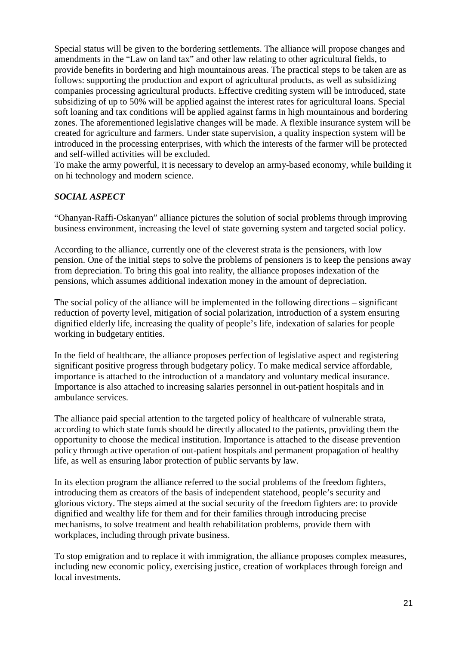Special status will be given to the bordering settlements. The alliance will propose changes and amendments in the "Law on land tax" and other law relating to other agricultural fields, to provide benefits in bordering and high mountainous areas. The practical steps to be taken are as follows: supporting the production and export of agricultural products, as well as subsidizing companies processing agricultural products. Effective crediting system will be introduced, state subsidizing of up to 50% will be applied against the interest rates for agricultural loans. Special soft loaning and tax conditions will be applied against farms in high mountainous and bordering zones. The aforementioned legislative changes will be made. A flexible insurance system will be created for agriculture and farmers. Under state supervision, a quality inspection system will be introduced in the processing enterprises, with which the interests of the farmer will be protected and self-willed activities will be excluded.

To make the army powerful, it is necessary to develop an army-based economy, while building it on hi technology and modern science.

#### *SOCIAL ASPECT*

"Ohanyan-Raffi-Oskanyan" alliance pictures the solution of social problems through improving business environment, increasing the level of state governing system and targeted social policy.

According to the alliance, currently one of the cleverest strata is the pensioners, with low pension. One of the initial steps to solve the problems of pensioners is to keep the pensions away from depreciation. To bring this goal into reality, the alliance proposes indexation of the pensions, which assumes additional indexation money in the amount of depreciation.

The social policy of the alliance will be implemented in the following directions – significant reduction of poverty level, mitigation of social polarization, introduction of a system ensuring dignified elderly life, increasing the quality of people's life, indexation of salaries for people working in budgetary entities.

In the field of healthcare, the alliance proposes perfection of legislative aspect and registering significant positive progress through budgetary policy. To make medical service affordable, importance is attached to the introduction of a mandatory and voluntary medical insurance. Importance is also attached to increasing salaries personnel in out-patient hospitals and in ambulance services.

The alliance paid special attention to the targeted policy of healthcare of vulnerable strata, according to which state funds should be directly allocated to the patients, providing them the opportunity to choose the medical institution. Importance is attached to the disease prevention policy through active operation of out-patient hospitals and permanent propagation of healthy life, as well as ensuring labor protection of public servants by law.

In its election program the alliance referred to the social problems of the freedom fighters, introducing them as creators of the basis of independent statehood, people's security and glorious victory. The steps aimed at the social security of the freedom fighters are: to provide dignified and wealthy life for them and for their families through introducing precise mechanisms, to solve treatment and health rehabilitation problems, provide them with workplaces, including through private business.

To stop emigration and to replace it with immigration, the alliance proposes complex measures, including new economic policy, exercising justice, creation of workplaces through foreign and local investments.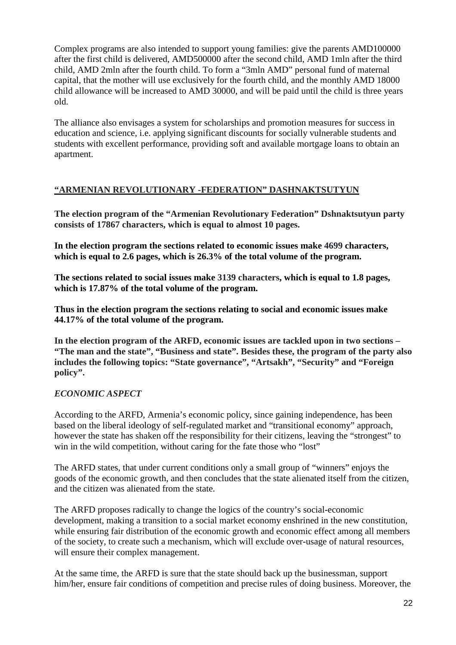Complex programs are also intended to support young families: give the parents AMD100000 after the first child is delivered, AMD500000 after the second child, AMD 1mln after the third child, AMD 2mln after the fourth child. To form a "3mln AMD" personal fund of maternal capital, that the mother will use exclusively for the fourth child, and the monthly AMD 18000 child allowance will be increased to AMD 30000, and will be paid until the child is three years old.

The alliance also envisages a system for scholarships and promotion measures for success in education and science, i.e. applying significant discounts for socially vulnerable students and students with excellent performance, providing soft and available mortgage loans to obtain an apartment.

#### **"ARMENIAN REVOLUTIONARY -FEDERATION" DASHNAKTSUTYUN**

**The election program of the "Armenian Revolutionary Federation" Dshnaktsutyun party consists of 17867 characters, which is equal to almost 10 pages.** 

**In the election program the sections related to economic issues make 4699 characters, which is equal to 2.6 pages, which is 26.3% of the total volume of the program.** 

**The sections related to social issues make 3139 characters, which is equal to 1.8 pages, which is 17.87% of the total volume of the program.**

**Thus in the election program the sections relating to social and economic issues make 44.17% of the total volume of the program.**

**In the election program of the ARFD, economic issues are tackled upon in two sections – "The man and the state", "Business and state". Besides these, the program of the party also includes the following topics: "State governance", "Artsakh", "Security" and "Foreign policy".** 

## *ECONOMIC ASPECT*

According to the ARFD, Armenia's economic policy, since gaining independence, has been based on the liberal ideology of self-regulated market and "transitional economy" approach, however the state has shaken off the responsibility for their citizens, leaving the "strongest" to win in the wild competition, without caring for the fate those who "lost"

The ARFD states, that under current conditions only a small group of "winners" enjoys the goods of the economic growth, and then concludes that the state alienated itself from the citizen, and the citizen was alienated from the state.

The ARFD proposes radically to change the logics of the country's social-economic development, making a transition to a social market economy enshrined in the new constitution, while ensuring fair distribution of the economic growth and economic effect among all members of the society, to create such a mechanism, which will exclude over-usage of natural resources, will ensure their complex management.

At the same time, the ARFD is sure that the state should back up the businessman, support him/her, ensure fair conditions of competition and precise rules of doing business. Moreover, the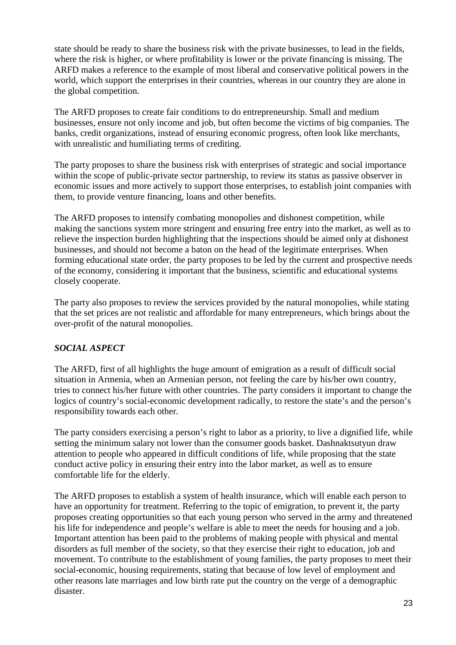state should be ready to share the business risk with the private businesses, to lead in the fields, where the risk is higher, or where profitability is lower or the private financing is missing. The ARFD makes a reference to the example of most liberal and conservative political powers in the world, which support the enterprises in their countries, whereas in our country they are alone in the global competition.

The ARFD proposes to create fair conditions to do entrepreneurship. Small and medium businesses, ensure not only income and job, but often become the victims of big companies. The banks, credit organizations, instead of ensuring economic progress, often look like merchants, with unrealistic and humiliating terms of crediting.

The party proposes to share the business risk with enterprises of strategic and social importance within the scope of public-private sector partnership, to review its status as passive observer in economic issues and more actively to support those enterprises, to establish joint companies with them, to provide venture financing, loans and other benefits.

The ARFD proposes to intensify combating monopolies and dishonest competition, while making the sanctions system more stringent and ensuring free entry into the market, as well as to relieve the inspection burden highlighting that the inspections should be aimed only at dishonest businesses, and should not become a baton on the head of the legitimate enterprises. When forming educational state order, the party proposes to be led by the current and prospective needs of the economy, considering it important that the business, scientific and educational systems closely cooperate.

The party also proposes to review the services provided by the natural monopolies, while stating that the set prices are not realistic and affordable for many entrepreneurs, which brings about the over-profit of the natural monopolies.

## *SOCIAL ASPECT*

The ARFD, first of all highlights the huge amount of emigration as a result of difficult social situation in Armenia, when an Armenian person, not feeling the care by his/her own country, tries to connect his/her future with other countries. The party considers it important to change the logics of country's social-economic development radically, to restore the state's and the person's responsibility towards each other.

The party considers exercising a person's right to labor as a priority, to live a dignified life, while setting the minimum salary not lower than the consumer goods basket. Dashnaktsutyun draw attention to people who appeared in difficult conditions of life, while proposing that the state conduct active policy in ensuring their entry into the labor market, as well as to ensure comfortable life for the elderly.

The ARFD proposes to establish a system of health insurance, which will enable each person to have an opportunity for treatment. Referring to the topic of emigration, to prevent it, the party proposes creating opportunities so that each young person who served in the army and threatened his life for independence and people's welfare is able to meet the needs for housing and a job. Important attention has been paid to the problems of making people with physical and mental disorders as full member of the society, so that they exercise their right to education, job and movement. To contribute to the establishment of young families, the party proposes to meet their social-economic, housing requirements, stating that because of low level of employment and other reasons late marriages and low birth rate put the country on the verge of a demographic disaster.